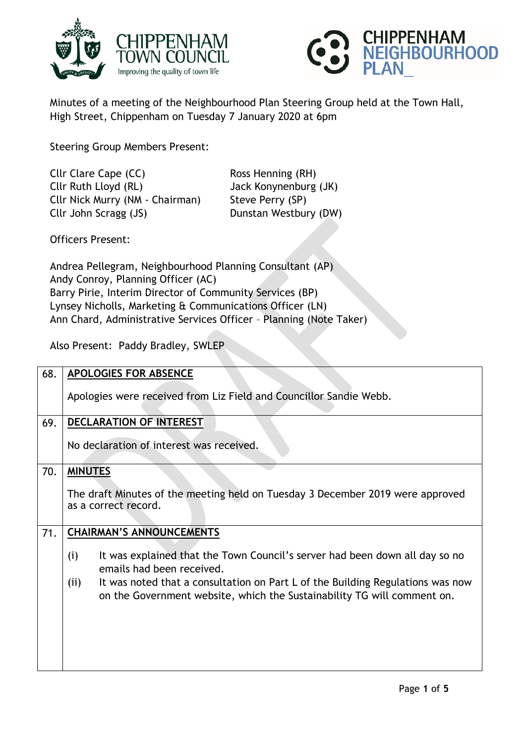



Minutes of a meeting of the Neighbourhood Plan Steering Group held at the Town Hall, High Street, Chippenham on Tuesday 7 January 2020 at 6pm

Steering Group Members Present:

Cllr Clare Cape (CC) Ross Henning (RH) Cllr Ruth Lloyd (RL) Jack Konynenburg (JK) Cllr Nick Murry (NM - Chairman) Steve Perry (SP) Cllr John Scragg (JS) Dunstan Westbury (DW)

Officers Present:

Andrea Pellegram, Neighbourhood Planning Consultant (AP) Andy Conroy, Planning Officer (AC) Barry Pirie, Interim Director of Community Services (BP) Lynsey Nicholls, Marketing & Communications Officer (LN) Ann Chard, Administrative Services Officer – Planning (Note Taker)

Also Present: Paddy Bradley, SWLEP

| 68. | <b>APOLOGIES FOR ABSENCE</b>                                                                                                                                                                                                                                                         |
|-----|--------------------------------------------------------------------------------------------------------------------------------------------------------------------------------------------------------------------------------------------------------------------------------------|
|     | Apologies were received from Liz Field and Councillor Sandie Webb.                                                                                                                                                                                                                   |
| 69. | <b>DECLARATION OF INTEREST</b>                                                                                                                                                                                                                                                       |
|     | No declaration of interest was received.                                                                                                                                                                                                                                             |
| 70. | <b>MINUTES</b>                                                                                                                                                                                                                                                                       |
|     | The draft Minutes of the meeting held on Tuesday 3 December 2019 were approved<br>as a correct record.                                                                                                                                                                               |
| 71. | <b>CHAIRMAN'S ANNOUNCEMENTS</b>                                                                                                                                                                                                                                                      |
|     | It was explained that the Town Council's server had been down all day so no<br>(i)<br>emails had been received.<br>It was noted that a consultation on Part L of the Building Regulations was now<br>(ii)<br>on the Government website, which the Sustainability TG will comment on. |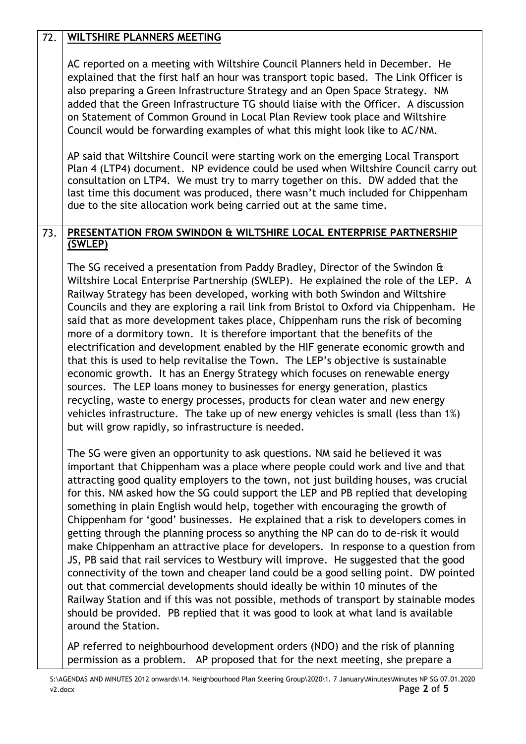| 72. | <b>WILTSHIRE PLANNERS MEETING</b>                                                                                                                                                                                                                                                                                                                                                                                                                                                                                                                                                                                                                                                                                                                                                                                                                                                                                                                                                                                                                                                                                                                                   |
|-----|---------------------------------------------------------------------------------------------------------------------------------------------------------------------------------------------------------------------------------------------------------------------------------------------------------------------------------------------------------------------------------------------------------------------------------------------------------------------------------------------------------------------------------------------------------------------------------------------------------------------------------------------------------------------------------------------------------------------------------------------------------------------------------------------------------------------------------------------------------------------------------------------------------------------------------------------------------------------------------------------------------------------------------------------------------------------------------------------------------------------------------------------------------------------|
|     | AC reported on a meeting with Wiltshire Council Planners held in December. He<br>explained that the first half an hour was transport topic based. The Link Officer is<br>also preparing a Green Infrastructure Strategy and an Open Space Strategy. NM<br>added that the Green Infrastructure TG should liaise with the Officer. A discussion<br>on Statement of Common Ground in Local Plan Review took place and Wiltshire<br>Council would be forwarding examples of what this might look like to AC/NM.                                                                                                                                                                                                                                                                                                                                                                                                                                                                                                                                                                                                                                                         |
|     | AP said that Wiltshire Council were starting work on the emerging Local Transport<br>Plan 4 (LTP4) document. NP evidence could be used when Wiltshire Council carry out<br>consultation on LTP4. We must try to marry together on this. DW added that the<br>last time this document was produced, there wasn't much included for Chippenham<br>due to the site allocation work being carried out at the same time.                                                                                                                                                                                                                                                                                                                                                                                                                                                                                                                                                                                                                                                                                                                                                 |
| 73. | PRESENTATION FROM SWINDON & WILTSHIRE LOCAL ENTERPRISE PARTNERSHIP<br>(SWLEP)                                                                                                                                                                                                                                                                                                                                                                                                                                                                                                                                                                                                                                                                                                                                                                                                                                                                                                                                                                                                                                                                                       |
|     | The SG received a presentation from Paddy Bradley, Director of the Swindon &<br>Wiltshire Local Enterprise Partnership (SWLEP). He explained the role of the LEP. A<br>Railway Strategy has been developed, working with both Swindon and Wiltshire<br>Councils and they are exploring a rail link from Bristol to Oxford via Chippenham. He<br>said that as more development takes place, Chippenham runs the risk of becoming<br>more of a dormitory town. It is therefore important that the benefits of the<br>electrification and development enabled by the HIF generate economic growth and<br>that this is used to help revitalise the Town. The LEP's objective is sustainable<br>economic growth. It has an Energy Strategy which focuses on renewable energy<br>sources. The LEP loans money to businesses for energy generation, plastics<br>recycling, waste to energy processes, products for clean water and new energy<br>vehicles infrastructure. The take up of new energy vehicles is small (less than 1%)<br>but will grow rapidly, so infrastructure is needed.                                                                                |
|     | The SG were given an opportunity to ask questions. NM said he believed it was<br>important that Chippenham was a place where people could work and live and that<br>attracting good quality employers to the town, not just building houses, was crucial<br>for this. NM asked how the SG could support the LEP and PB replied that developing<br>something in plain English would help, together with encouraging the growth of<br>Chippenham for 'good' businesses. He explained that a risk to developers comes in<br>getting through the planning process so anything the NP can do to de-risk it would<br>make Chippenham an attractive place for developers. In response to a question from<br>JS, PB said that rail services to Westbury will improve. He suggested that the good<br>connectivity of the town and cheaper land could be a good selling point. DW pointed<br>out that commercial developments should ideally be within 10 minutes of the<br>Railway Station and if this was not possible, methods of transport by stainable modes<br>should be provided. PB replied that it was good to look at what land is available<br>around the Station. |
|     | AP referred to neighbourhood development orders (NDO) and the risk of planning<br>permission as a problem. AP proposed that for the next meeting, she prepare a                                                                                                                                                                                                                                                                                                                                                                                                                                                                                                                                                                                                                                                                                                                                                                                                                                                                                                                                                                                                     |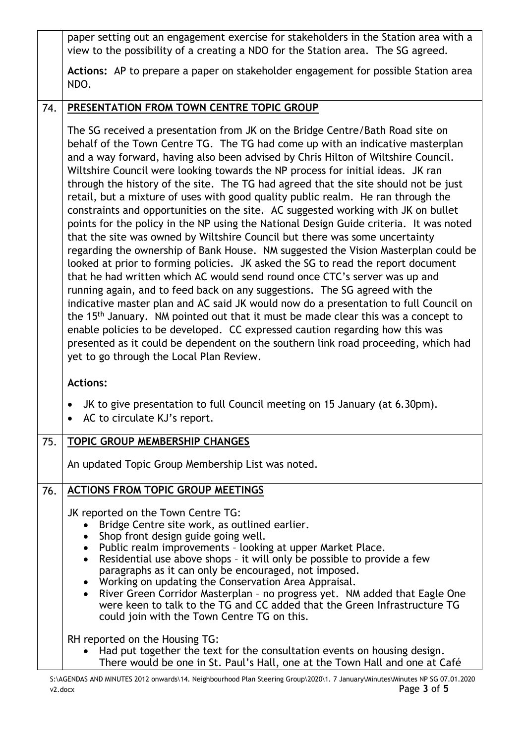|     | paper setting out an engagement exercise for stakeholders in the Station area with a<br>view to the possibility of a creating a NDO for the Station area. The SG agreed.                                                                                                                                                                                                                                                                                                                                                                                                                                                                                                                                                                                                                                                                                                                                                                                                                                                                                                                                                                                                                                                                                                                                                                                                                                                                                                                                                                             |
|-----|------------------------------------------------------------------------------------------------------------------------------------------------------------------------------------------------------------------------------------------------------------------------------------------------------------------------------------------------------------------------------------------------------------------------------------------------------------------------------------------------------------------------------------------------------------------------------------------------------------------------------------------------------------------------------------------------------------------------------------------------------------------------------------------------------------------------------------------------------------------------------------------------------------------------------------------------------------------------------------------------------------------------------------------------------------------------------------------------------------------------------------------------------------------------------------------------------------------------------------------------------------------------------------------------------------------------------------------------------------------------------------------------------------------------------------------------------------------------------------------------------------------------------------------------------|
|     | Actions: AP to prepare a paper on stakeholder engagement for possible Station area<br>NDO.                                                                                                                                                                                                                                                                                                                                                                                                                                                                                                                                                                                                                                                                                                                                                                                                                                                                                                                                                                                                                                                                                                                                                                                                                                                                                                                                                                                                                                                           |
| 74. | PRESENTATION FROM TOWN CENTRE TOPIC GROUP                                                                                                                                                                                                                                                                                                                                                                                                                                                                                                                                                                                                                                                                                                                                                                                                                                                                                                                                                                                                                                                                                                                                                                                                                                                                                                                                                                                                                                                                                                            |
|     | The SG received a presentation from JK on the Bridge Centre/Bath Road site on<br>behalf of the Town Centre TG. The TG had come up with an indicative masterplan<br>and a way forward, having also been advised by Chris Hilton of Wiltshire Council.<br>Wiltshire Council were looking towards the NP process for initial ideas. JK ran<br>through the history of the site. The TG had agreed that the site should not be just<br>retail, but a mixture of uses with good quality public realm. He ran through the<br>constraints and opportunities on the site. AC suggested working with JK on bullet<br>points for the policy in the NP using the National Design Guide criteria. It was noted<br>that the site was owned by Wiltshire Council but there was some uncertainty<br>regarding the ownership of Bank House. NM suggested the Vision Masterplan could be<br>looked at prior to forming policies. JK asked the SG to read the report document<br>that he had written which AC would send round once CTC's server was up and<br>running again, and to feed back on any suggestions. The SG agreed with the<br>indicative master plan and AC said JK would now do a presentation to full Council on<br>the 15 <sup>th</sup> January. NM pointed out that it must be made clear this was a concept to<br>enable policies to be developed. CC expressed caution regarding how this was<br>presented as it could be dependent on the southern link road proceeding, which had<br>yet to go through the Local Plan Review.<br><b>Actions:</b> |
|     | JK to give presentation to full Council meeting on 15 January (at 6.30pm).<br>AC to circulate KJ's report.                                                                                                                                                                                                                                                                                                                                                                                                                                                                                                                                                                                                                                                                                                                                                                                                                                                                                                                                                                                                                                                                                                                                                                                                                                                                                                                                                                                                                                           |
| 75. | <b>TOPIC GROUP MEMBERSHIP CHANGES</b>                                                                                                                                                                                                                                                                                                                                                                                                                                                                                                                                                                                                                                                                                                                                                                                                                                                                                                                                                                                                                                                                                                                                                                                                                                                                                                                                                                                                                                                                                                                |
|     | An updated Topic Group Membership List was noted.                                                                                                                                                                                                                                                                                                                                                                                                                                                                                                                                                                                                                                                                                                                                                                                                                                                                                                                                                                                                                                                                                                                                                                                                                                                                                                                                                                                                                                                                                                    |
| 76. | <b>ACTIONS FROM TOPIC GROUP MEETINGS</b><br>JK reported on the Town Centre TG:<br>Bridge Centre site work, as outlined earlier.<br>$\bullet$<br>Shop front design guide going well.<br>• Public realm improvements - looking at upper Market Place.<br>Residential use above shops - it will only be possible to provide a few<br>$\bullet$<br>paragraphs as it can only be encouraged, not imposed.<br>Working on updating the Conservation Area Appraisal.<br>$\bullet$<br>River Green Corridor Masterplan - no progress yet. NM added that Eagle One<br>$\bullet$<br>were keen to talk to the TG and CC added that the Green Infrastructure TG<br>could join with the Town Centre TG on this.                                                                                                                                                                                                                                                                                                                                                                                                                                                                                                                                                                                                                                                                                                                                                                                                                                                     |
|     | RH reported on the Housing TG:<br>Had put together the text for the consultation events on housing design.<br>$\bullet$<br>There would be one in St. Paul's Hall, one at the Town Hall and one at Café                                                                                                                                                                                                                                                                                                                                                                                                                                                                                                                                                                                                                                                                                                                                                                                                                                                                                                                                                                                                                                                                                                                                                                                                                                                                                                                                               |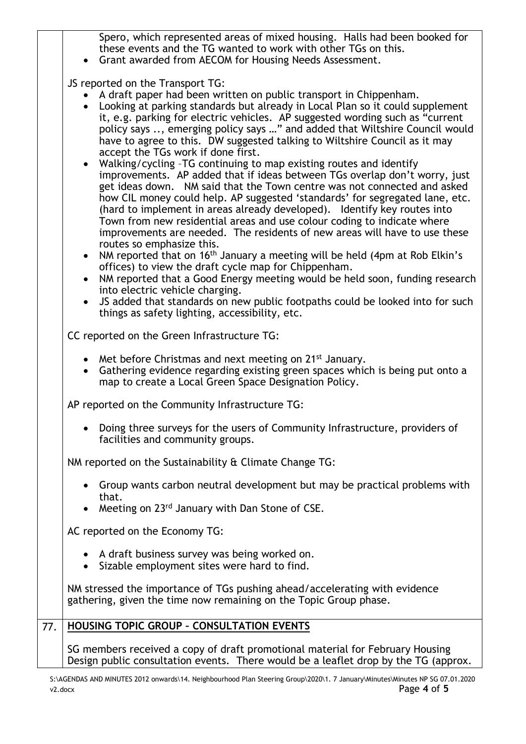Spero, which represented areas of mixed housing. Halls had been booked for these events and the TG wanted to work with other TGs on this.

Grant awarded from AECOM for Housing Needs Assessment.

JS reported on the Transport TG:

- A draft paper had been written on public transport in Chippenham.
- Looking at parking standards but already in Local Plan so it could supplement it, e.g. parking for electric vehicles. AP suggested wording such as "current policy says .., emerging policy says …" and added that Wiltshire Council would have to agree to this. DW suggested talking to Wiltshire Council as it may accept the TGs work if done first.
- Walking/cycling –TG continuing to map existing routes and identify improvements. AP added that if ideas between TGs overlap don't worry, just get ideas down. NM said that the Town centre was not connected and asked how CIL money could help. AP suggested 'standards' for segregated lane, etc. (hard to implement in areas already developed). Identify key routes into Town from new residential areas and use colour coding to indicate where improvements are needed. The residents of new areas will have to use these routes so emphasize this.
- NM reported that on 16<sup>th</sup> January a meeting will be held (4pm at Rob Elkin's offices) to view the draft cycle map for Chippenham.
- NM reported that a Good Energy meeting would be held soon, funding research into electric vehicle charging.
- JS added that standards on new public footpaths could be looked into for such things as safety lighting, accessibility, etc.

| 77. | <b>HOUSING TOPIC GROUP - CONSULTATION EVENTS</b>                                                                                                                                                       |
|-----|--------------------------------------------------------------------------------------------------------------------------------------------------------------------------------------------------------|
|     | NM stressed the importance of TGs pushing ahead/accelerating with evidence<br>gathering, given the time now remaining on the Topic Group phase.                                                        |
|     | • A draft business survey was being worked on.<br>Sizable employment sites were hard to find.                                                                                                          |
|     | AC reported on the Economy TG:                                                                                                                                                                         |
|     | • Group wants carbon neutral development but may be practical problems with<br>that.<br>Meeting on 23 <sup>rd</sup> January with Dan Stone of CSE.<br>$\bullet$                                        |
|     | NM reported on the Sustainability & Climate Change TG:                                                                                                                                                 |
|     | Doing three surveys for the users of Community Infrastructure, providers of<br>facilities and community groups.                                                                                        |
|     | AP reported on the Community Infrastructure TG:                                                                                                                                                        |
|     | • Met before Christmas and next meeting on $21^{st}$ January.<br>Gathering evidence regarding existing green spaces which is being put onto a<br>map to create a Local Green Space Designation Policy. |
|     | CC reported on the Green Infrastructure TG:                                                                                                                                                            |
|     | trinity, as safely tighting, accessibility, etc.                                                                                                                                                       |

SG members received a copy of draft promotional material for February Housing Design public consultation events. There would be a leaflet drop by the TG (approx.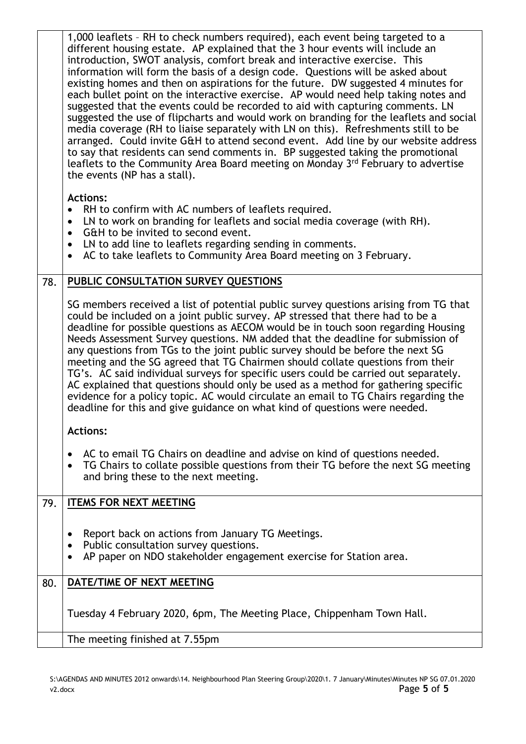|     | 1,000 leaflets - RH to check numbers required), each event being targeted to a<br>different housing estate. AP explained that the 3 hour events will include an<br>introduction, SWOT analysis, comfort break and interactive exercise. This<br>information will form the basis of a design code. Questions will be asked about<br>existing homes and then on aspirations for the future. DW suggested 4 minutes for<br>each bullet point on the interactive exercise. AP would need help taking notes and<br>suggested that the events could be recorded to aid with capturing comments. LN<br>suggested the use of flipcharts and would work on branding for the leaflets and social<br>media coverage (RH to liaise separately with LN on this). Refreshments still to be<br>arranged. Could invite G&H to attend second event. Add line by our website address<br>to say that residents can send comments in. BP suggested taking the promotional<br>leaflets to the Community Area Board meeting on Monday 3rd February to advertise<br>the events (NP has a stall). |
|-----|---------------------------------------------------------------------------------------------------------------------------------------------------------------------------------------------------------------------------------------------------------------------------------------------------------------------------------------------------------------------------------------------------------------------------------------------------------------------------------------------------------------------------------------------------------------------------------------------------------------------------------------------------------------------------------------------------------------------------------------------------------------------------------------------------------------------------------------------------------------------------------------------------------------------------------------------------------------------------------------------------------------------------------------------------------------------------|
|     | <b>Actions:</b><br>RH to confirm with AC numbers of leaflets required.<br>$\bullet$<br>LN to work on branding for leaflets and social media coverage (with RH).<br>$\bullet$<br>G&H to be invited to second event.<br>$\bullet$<br>LN to add line to leaflets regarding sending in comments.<br>$\bullet$<br>AC to take leaflets to Community Area Board meeting on 3 February.<br>$\bullet$                                                                                                                                                                                                                                                                                                                                                                                                                                                                                                                                                                                                                                                                              |
| 78. | PUBLIC CONSULTATION SURVEY QUESTIONS                                                                                                                                                                                                                                                                                                                                                                                                                                                                                                                                                                                                                                                                                                                                                                                                                                                                                                                                                                                                                                      |
|     | SG members received a list of potential public survey questions arising from TG that<br>could be included on a joint public survey. AP stressed that there had to be a<br>deadline for possible questions as AECOM would be in touch soon regarding Housing<br>Needs Assessment Survey questions. NM added that the deadline for submission of<br>any questions from TGs to the joint public survey should be before the next SG<br>meeting and the SG agreed that TG Chairmen should collate questions from their<br>TG's. AC said individual surveys for specific users could be carried out separately.<br>AC explained that questions should only be used as a method for gathering specific<br>evidence for a policy topic. AC would circulate an email to TG Chairs regarding the<br>deadline for this and give guidance on what kind of questions were needed.                                                                                                                                                                                                     |
|     | <b>Actions:</b>                                                                                                                                                                                                                                                                                                                                                                                                                                                                                                                                                                                                                                                                                                                                                                                                                                                                                                                                                                                                                                                           |
|     | AC to email TG Chairs on deadline and advise on kind of questions needed.<br>٠<br>TG Chairs to collate possible questions from their TG before the next SG meeting<br>and bring these to the next meeting.                                                                                                                                                                                                                                                                                                                                                                                                                                                                                                                                                                                                                                                                                                                                                                                                                                                                |
| 79. | <b>ITEMS FOR NEXT MEETING</b>                                                                                                                                                                                                                                                                                                                                                                                                                                                                                                                                                                                                                                                                                                                                                                                                                                                                                                                                                                                                                                             |
|     | Report back on actions from January TG Meetings.<br>Public consultation survey questions.<br>٠<br>AP paper on NDO stakeholder engagement exercise for Station area.                                                                                                                                                                                                                                                                                                                                                                                                                                                                                                                                                                                                                                                                                                                                                                                                                                                                                                       |
| 80. | DATE/TIME OF NEXT MEETING                                                                                                                                                                                                                                                                                                                                                                                                                                                                                                                                                                                                                                                                                                                                                                                                                                                                                                                                                                                                                                                 |
|     | Tuesday 4 February 2020, 6pm, The Meeting Place, Chippenham Town Hall.                                                                                                                                                                                                                                                                                                                                                                                                                                                                                                                                                                                                                                                                                                                                                                                                                                                                                                                                                                                                    |
|     | The meeting finished at 7.55pm                                                                                                                                                                                                                                                                                                                                                                                                                                                                                                                                                                                                                                                                                                                                                                                                                                                                                                                                                                                                                                            |